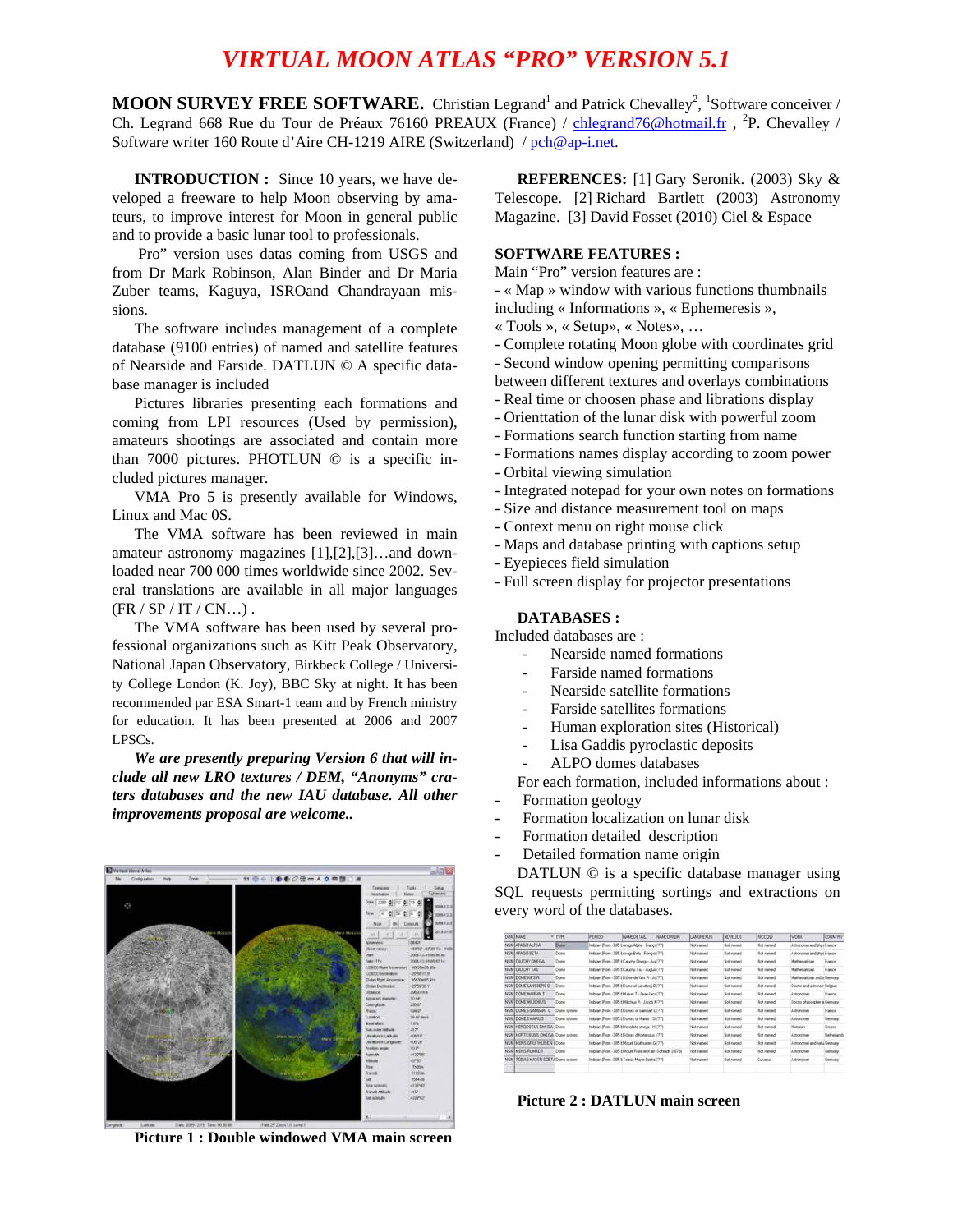# *VIRTUAL MOON ATLAS "PRO" VERSION 5.1*

**MOON SURVEY FREE SOFTWARE.** Christian Legrand<sup>1</sup> and Patrick Chevalley<sup>2</sup>, <sup>1</sup>Software conceiver / Ch. Legrand 668 Rue du Tour de Préaux 76160 PREAUX (France) / [chlegrand76@hotmail.fr](mailto:chlegrand76@hotmail.fr) , <sup>2</sup>P. Chevalley / Software writer 160 Route d'Aire CH-1219 AIRE (Switzerland) / [pch@ap-i.net.](mailto:pch@ap-i.net)

**INTRODUCTION :** Since 10 years, we have developed a freeware to help Moon observing by amateurs, to improve interest for Moon in general public and to provide a basic lunar tool to professionals.

 Pro" version uses datas coming from USGS and from Dr Mark Robinson, Alan Binder and Dr Maria Zuber teams, Kaguya, ISROand Chandrayaan missions.

The software includes management of a complete database (9100 entries) of named and satellite features of Nearside and Farside. DATLUN © A specific database manager is included

Pictures libraries presenting each formations and coming from LPI resources (Used by permission), amateurs shootings are associated and contain more than 7000 pictures. PHOTLUN © is a specific included pictures manager.

VMA Pro 5 is presently available for Windows, Linux and Mac 0S.

The VMA software has been reviewed in main amateur astronomy magazines [1],[2],[3]…and downloaded near 700 000 times worldwide since 2002. Several translations are available in all major languages  $(FR / SP / IT / CN...).$ 

The VMA software has been used by several professional organizations such as Kitt Peak Observatory, National Japan Observatory, Birkbeck College / University College London (K. Joy), BBC Sky at night. It has been recommended par ESA Smart-1 team and by French ministry for education. It has been presented at 2006 and 2007 LPSCs.

*We are presently preparing Version 6 that will include all new LRO textures / DEM, "Anonyms" craters databases and the new IAU database. All other improvements proposal are welcome..* 

# **HO-166/B-A00M**

**Picture 1 : Double windowed VMA main screen** 

**REFERENCES:** [1] Gary Seronik. (2003) Sky & Telescope. [2] Richard Bartlett (2003) Astronomy Magazine. [3] David Fosset (2010) Ciel & Espace

#### **SOFTWARE FEATURES :**

Main "Pro" version features are :

- « Map » window with various functions thumbnails including « Informations », « Ephemeresis »,

- « Tools », « Setup», « Notes», …
- Complete rotating Moon globe with coordinates grid
- Second window opening permitting comparisons
- between different textures and overlays combinations
- Real time or choosen phase and librations display
- Orienttation of the lunar disk with powerful zoom
- Formations search function starting from name
- Formations names display according to zoom power
- Orbital viewing simulation
- Integrated notepad for your own notes on formations
- Size and distance measurement tool on maps
- Context menu on right mouse click
- Maps and database printing with captions setup
- Eyepieces field simulation
- Full screen display for projector presentations

## **DATABASES :**

Included databases are :

- Nearside named formations
- Farside named formations
- Nearside satellite formations
- Farside satellites formations
- Human exploration sites (Historical)
- Lisa Gaddis pyroclastic deposits
- ALPO domes databases

For each formation, included informations about :

- Formation geology
- Formation localization on lunar disk
- Formation detailed description
- Detailed formation name origin

DATLUN © is a specific database manager using SQL requests permitting sortings and extractions on every word of the databases.

| Dani Injunet                      | $v$ neg       | <b>IPERIOD</b>                                    | <b>NAMEDETAR</b>                                   | <b>NAME CRISTIN</b> | LANGETNESS        | HEVELIUS           | <b>FICCIOLI</b>    | WORK.                        | <b>COUNTRY</b> |
|-----------------------------------|---------------|---------------------------------------------------|----------------------------------------------------|---------------------|-------------------|--------------------|--------------------|------------------------------|----------------|
| NSN ARASO ALPHA                   | Done          | Indolar: From 3.95 E Arago Abiha - France (77)    |                                                    |                     | Not rusted        | Not named          | <b>Not named</b>   | Athorizian and plus France   |                |
| NSN ARAGO BETA                    | Done          | Inbian From 3.05 è Augo Bata - Françoi (77)       |                                                    |                     | Not named         | Not named          | <b>Mini manuel</b> | Ashonomer and shut France    |                |
| NSN CAUCHY ONEGA                  | Dune          | Inbian: From 335 E Caurly Driege - Aut (77)       |                                                    |                     | <b>Not named</b>  | <b>Net named</b>   | <b>Riot named</b>  | Mathematician                | France         |
| NSN CAUCHY TALL                   | Dune          | Indoise From 3.05 t Cauche Tax - August 1779      |                                                    |                     | Not named         | Not named          | <b>Not named</b>   | Mathematician                | France         |
| NSN COME KIES PL                  | Done          | Indoise: From -2 05 E Dilese de Kiez Pi - Jo (77) |                                                    |                     | Not connect       | <b>Not context</b> | <b>Mot named</b>   | Mathematician and a Germany  |                |
| NSN CONE LANSBERG D               | Done          |                                                   | Inibian From -3.05 t Dome of Landberg D (77)       |                     | Not runned        | Not named          | <b>Not named</b>   | Doctor and advocan Bakauer   |                |
| NSN (COME MAIRAN T                | <b>Dome</b>   | Inbian Forn 315 EMaker T - Jean-Jacc (77)         |                                                    |                     | Not named         | Not named          | Not named          | Astronomic                   | France         |
| NSN COME MILIORUS                 | Done          | Inbrian From -3.05 EM&heat Ft - Jacob N1771       |                                                    |                     | Not named         | Not named          | <b>Bist named</b>  | Doctor philosopher a Germany |                |
| NSN DOMES GAMBART C               | Distra system | Indoise From 3.95 t Domes of Gandust C1771        |                                                    |                     | Not conset        | Not kannel.        | <b>Not named</b>   | Ashtendewa                   | France         |
| NSN DOMES MARKEE                  | Duna system   | Indoor-From 3.05 E Domes of Market - Si (77).     |                                                    |                     | Not named         | Not named          | <b>Not named</b>   | Ashielane                    | Geneva         |
| NSN IHERODOTUS OMESA IDune        |               | Indolet From 3.05 E Herodote several - Hi (77)    |                                                    |                     | <b>Not runned</b> | Not named          | <b>Not named</b>   | Plotosian                    | Greece         |
| NSN NORTENSIUS OMEGA Come system  |               | Inbian From -3.85 E Dónes d'Hatensko (77)         |                                                    |                     | Not rupsed        | Not named          | Not named          | Ashononer                    | Nethanlands    |
| NSN INCINS GRUITHUSEN EDone       |               | Inboard From -3.05 t Mount Gruthwave G 1775       |                                                    |                     | Not named         | Not named          | <b>Not named</b>   | Astronomer and natu Germany  |                |
| NSN INCINS RUNNER!                | Done          |                                                   | Inbran From 3.05 EMount Runker Ruel Schmidt (1979) |                     | Not suggest       | Not named          | <b>Not named</b>   | Athonones                    | Gemany         |
| NSN 1108WS MAYER DZETATOme system |               | Indoge From 3.95 E Tobiac Mauer Donta 1771        |                                                    |                     | Not named         | Not named          | Curanus            | Astronomer                   | Senare         |
|                                   |               |                                                   |                                                    |                     |                   |                    |                    |                              |                |

**Picture 2 : DATLUN main screen**